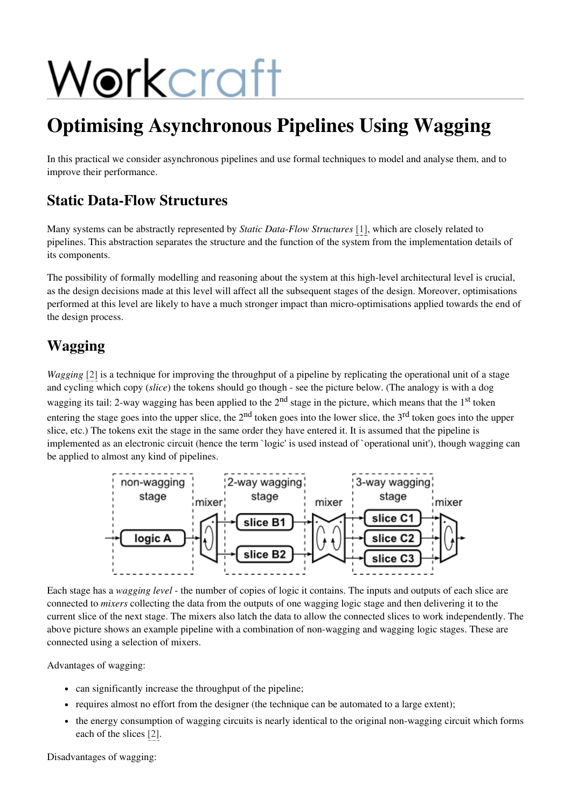# Workcraft

# Optimising Asynchronous Pipelines Using Wagging

In this practical we consider asynchronous pipelines and use formal techniques to model and analyse them, and to improve their performance.

## Static Data-Flow Structures

Many systems can be abstractly represented by *Static Data-Flow Structures* [\[1\],](#page-4-0) which are closely related to pipelines. This abstraction separates the structure and the function of the system from the implementation details of its components.

The possibility of formally modelling and reasoning about the system at this high-level architectural level is crucial, as the design decisions made at this level will affect all the subsequent stages of the design. Moreover, optimisations performed at this level are likely to have a much stronger impact than micro-optimisations applied towards the end of the design process.

## Wagging

*Wagging* [\[2\]](#page-4-1) is a technique for improving the throughput of a pipeline by replicating the operational unit of a stage and cycling which copy (*slice*) the tokens should go though - see the picture below. (The analogy is with a dog wagging its tail: 2-way wagging has been applied to the 2<sup>nd</sup> stage in the picture, which means that the 1<sup>st</sup> token entering the stage goes into the upper slice, the  $2<sup>nd</sup>$  token goes into the lower slice, the  $3<sup>rd</sup>$  token goes into the upper slice, etc.) The tokens exit the stage in the same order they have entered it. It is assumed that the pipeline is implemented as an electronic circuit (hence the term `logic' is used instead of `operational unit'), though wagging can be applied to almost any kind of pipelines.



Each stage has a *wagging level* - the number of copies of logic it contains. The inputs and outputs of each slice are connected to *mixers* collecting the data from the outputs of one wagging logic stage and then delivering it to the current slice of the next stage. The mixers also latch the data to allow the connected slices to work independently. The above picture shows an example pipeline with a combination of non-wagging and wagging logic stages. These are connected using a selection of mixers.

Advantages of wagging:

- can significantly increase the throughput of the pipeline;
- requires almost no effort from the designer (the technique can be automated to a large extent);
- the energy consumption of wagging circuits is nearly identical to the original non-wagging circuit which forms each of the slices [\[2\].](#page-4-1)

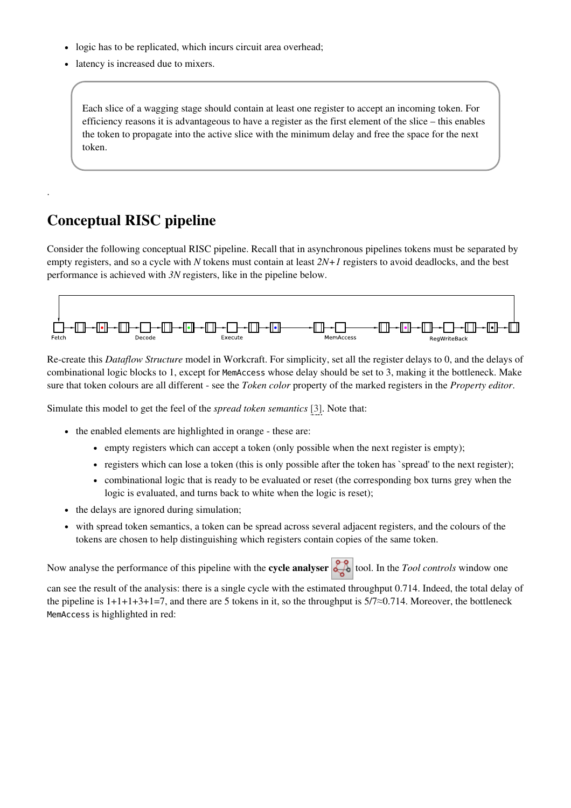- logic has to be replicated, which incurs circuit area overhead;
- latency is increased due to mixers.

Each slice of a wagging stage should contain at least one register to accept an incoming token. For efficiency reasons it is advantageous to have a register as the first element of the slice – this enables the token to propagate into the active slice with the minimum delay and free the space for the next token.

#### Conceptual RISC pipeline

.

Consider the following conceptual RISC pipeline. Recall that in asynchronous pipelines tokens must be separated by empty registers, and so a cycle with *N* tokens must contain at least *2N+1* registers to avoid deadlocks, and the best performance is achieved with *3N* registers, like in the pipeline below.



Re-create this *Dataflow Structure* model in Workcraft. For simplicity, set all the register delays to 0, and the delays of combinational logic blocks to 1, except for MemAccesswhose delay should be set to 3, making it the bottleneck. Make sure that token colours are all different - see the *Token color* property of the marked registers in the *Property editor*.

Simulate this model to get the feel of the *spread token semantics* [\[3\].](#page-4-2) Note that:

- the enabled elements are highlighted in orange these are:
	- empty registers which can accept a token (only possible when the next register is empty);
	- registers which can lose a token (this is only possible after the token has `spread' to the next register);
	- combinational logic that is ready to be evaluated or reset (the corresponding box turns grey when the logic is evaluated, and turns back to white when the logic is reset);
- the delays are ignored during simulation;
- with spread token semantics, a token can be spread across several adjacent registers, and the colours of the tokens are chosen to help distinguishing which registers contain copies of the same token.

Now analyse the performance of this pipeline with the **cycle analyser**  $\frac{1}{\sqrt{26}}$  tool. In the *Tool controls* window one

can see the result of the analysis: there is a single cycle with the estimated throughput 0.714. Indeed, the total delay of the pipeline is  $1+1+3+1=7$ , and there are 5 tokens in it, so the throughput is  $5/7 \approx 0.714$ . Moreover, the bottleneck MemAccess is highlighted in red: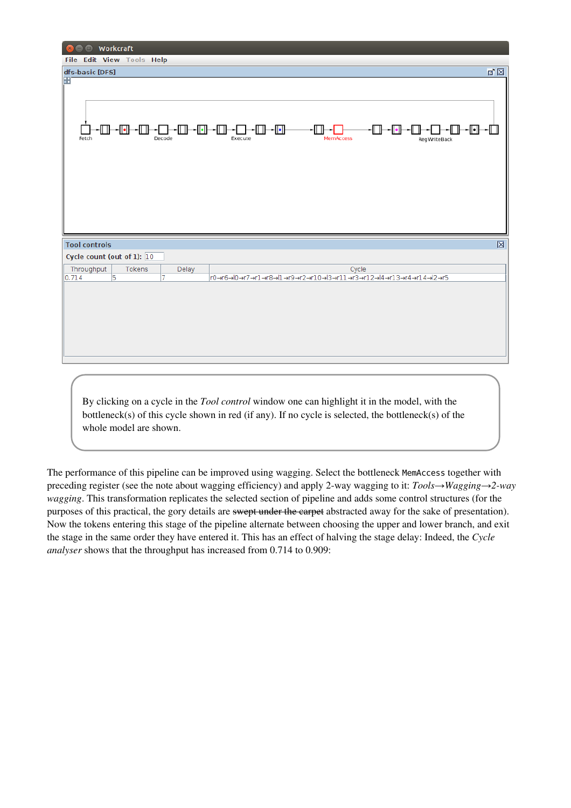| <b>Workcraft</b><br>۰<br>$\mathbf{x}$ |                           |                    |                      |                  |                                                                  |           |  |  |  |
|---------------------------------------|---------------------------|--------------------|----------------------|------------------|------------------------------------------------------------------|-----------|--|--|--|
| File Edit View Tools Help             |                           |                    |                      |                  |                                                                  |           |  |  |  |
| dfs-basic [DFS]                       |                           |                    |                      |                  |                                                                  | ☑ ⊠       |  |  |  |
| Ŧ<br>⊪⊩<br>Fetch                      | -0-0-                     | -0-0-0-0<br>Decode | ∽⊡⊦<br>╓╖<br>Execute | <b>MemAccess</b> | ∙⊞⊸⊡∙<br>-11 Ib<br>RegWriteBack                                  | ·©}-©}-+© |  |  |  |
|                                       | 図<br><b>Tool controls</b> |                    |                      |                  |                                                                  |           |  |  |  |
| Cycle count (out of 1): $\boxed{10}$  |                           |                    |                      |                  |                                                                  |           |  |  |  |
| Throughput                            | Tokens                    | Delay              |                      | Cycle            |                                                                  |           |  |  |  |
| 0.714                                 | $\overline{5}$            | 7                  |                      |                  | PO→r6→lO→r7→r1→r8→l1→r9→r2→r10→l3→r11→r3→r12→l4→r13→r4→r14→l2→r5 |           |  |  |  |
|                                       |                           |                    |                      |                  |                                                                  |           |  |  |  |

By clicking on a cycle in the *Tool control* window one can highlight it in the model, with the bottleneck(s) of this cycle shown in red (if any). If no cycle is selected, the bottleneck(s) of the whole model are shown.

The performance of this pipeline can be improved using wagging. Select the bottleneck MemAccesstogether with preceding register (see the note about wagging efficiency) and apply 2-way wagging to it: *Tools→Wagging→2-way wagging*. This transformation replicates the selected section of pipeline and adds some control structures (for the purposes of this practical, the gory details are swept under the carpet abstracted away for the sake of presentation). Now the tokens entering this stage of the pipeline alternate between choosing the upper and lower branch, and exit the stage in the same order they have entered it. This has an effect of halving the stage delay: Indeed, the *Cycle analyser* shows that the throughput has increased from 0.714 to 0.909: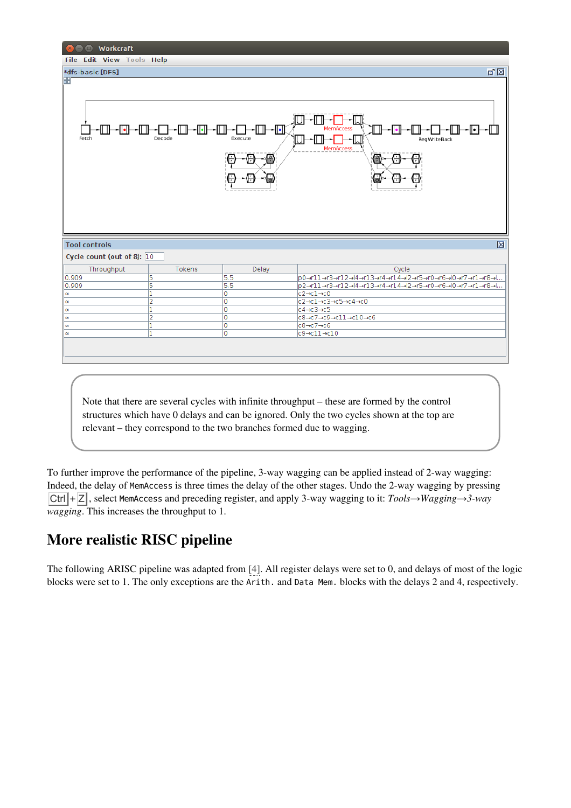| <b>O</b> Workcraft<br>$\mathbf{x}$   |                          |                        |                                                                                 |  |  |  |  |  |
|--------------------------------------|--------------------------|------------------------|---------------------------------------------------------------------------------|--|--|--|--|--|
| File Edit View Tools Help            |                          |                        |                                                                                 |  |  |  |  |  |
| *dfs-basic [DFS]                     |                          |                        | <b>Z</b>                                                                        |  |  |  |  |  |
| H                                    |                          |                        |                                                                                 |  |  |  |  |  |
|                                      |                          |                        |                                                                                 |  |  |  |  |  |
|                                      |                          |                        |                                                                                 |  |  |  |  |  |
|                                      |                          |                        |                                                                                 |  |  |  |  |  |
|                                      | -IT 11-                  |                        |                                                                                 |  |  |  |  |  |
| ∼⊡•<br>ll II.                        | -11•11-<br>11 II<br>1 II | -⊡<br>-- 11 H<br>11 IF | MemAccess<br>-0-0<br>וו ונ<br>∽ll∙ll                                            |  |  |  |  |  |
| Fetch                                | Decode                   | Execute                | RegWriteBack                                                                    |  |  |  |  |  |
|                                      |                          |                        | <b>MemAccess</b>                                                                |  |  |  |  |  |
|                                      |                          | 49                     | ß<br>Θ                                                                          |  |  |  |  |  |
|                                      |                          |                        |                                                                                 |  |  |  |  |  |
|                                      |                          |                        |                                                                                 |  |  |  |  |  |
|                                      |                          |                        |                                                                                 |  |  |  |  |  |
|                                      |                          |                        |                                                                                 |  |  |  |  |  |
|                                      |                          |                        |                                                                                 |  |  |  |  |  |
|                                      |                          |                        |                                                                                 |  |  |  |  |  |
|                                      |                          |                        |                                                                                 |  |  |  |  |  |
|                                      |                          |                        |                                                                                 |  |  |  |  |  |
| 区<br><b>Tool controls</b>            |                          |                        |                                                                                 |  |  |  |  |  |
| Cycle count (out of 8): $\boxed{10}$ |                          |                        |                                                                                 |  |  |  |  |  |
| Throughput                           | <b>Tokens</b>            | Delay                  | Cycle                                                                           |  |  |  |  |  |
| 0.909                                | 5                        | 5.5                    | p0→r11→r3→r12→l4→r13→r4→r14→l2→r5→r0→r6→l0→r7→r1→r8→l                           |  |  |  |  |  |
| 0.909                                | 5                        | 5.5                    | p2→r11→r3→r12→l4→r13→r4→r14→l2→r5→r0→r6→l0→r7→r1→r8→l                           |  |  |  |  |  |
| l œ                                  | 1                        | Ō                      | $c2 \rightarrow c1 \rightarrow c0$                                              |  |  |  |  |  |
| lœ                                   | $\overline{2}$           | O                      | $c2 \rightarrow c1 \rightarrow c3 \rightarrow c5 \rightarrow c4 \rightarrow c0$ |  |  |  |  |  |
| l œ                                  | 1                        | O                      | $c4 \rightarrow c3 \rightarrow c5$                                              |  |  |  |  |  |
| l œ                                  | 2                        | 0                      | c8→c7→c9→c11→c10→c6                                                             |  |  |  |  |  |
| l œ                                  | ı<br>1                   | 0<br>$\overline{0}$    | $c8 \rightarrow c7 \rightarrow c6$<br>$c9 \rightarrow c11 \rightarrow c10$      |  |  |  |  |  |
| $\infty$                             |                          |                        |                                                                                 |  |  |  |  |  |
|                                      |                          |                        |                                                                                 |  |  |  |  |  |
|                                      |                          |                        |                                                                                 |  |  |  |  |  |
|                                      |                          |                        |                                                                                 |  |  |  |  |  |
|                                      |                          |                        |                                                                                 |  |  |  |  |  |

Note that there are several cycles with infinite throughput – these are formed by the control structures which have 0 delays and can be ignored. Only the two cycles shown at the top are relevant – they correspond to the two branches formed due to wagging.

To further improve the performance of the pipeline, 3-way wagging can be applied instead of 2-way wagging: Indeed, the delay of MemAccessis three times the delay of the other stages. Undo the 2-way wagging by pressing Ctrl + Z , select MemAccessand preceding register, and apply 3-way wagging to it: *Tools→Wagging→3-way wagging*. This increases the throughput to 1.

#### More realistic RISC pipeline

The following ARISC pipeline was adapted from [\[4\]](#page-4-3). All register delays were set to 0, and delays of most of the logic blocks were set to 1. The only exceptions are the Arith. and Data Mem. blocks with the delays 2 and 4, respectively.